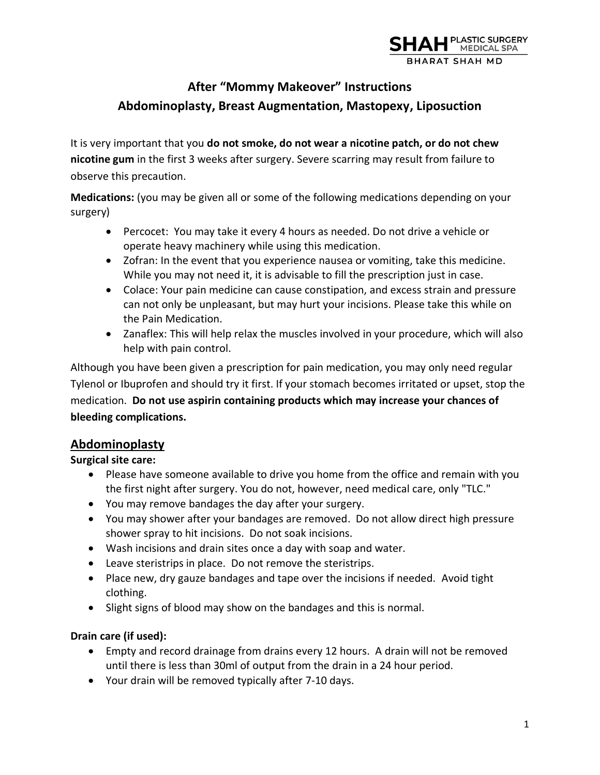

# **After "Mommy Makeover" Instructions Abdominoplasty, Breast Augmentation, Mastopexy, Liposuction**

It is very important that you **do not smoke, do not wear a nicotine patch, or do not chew nicotine gum** in the first 3 weeks after surgery. Severe scarring may result from failure to observe this precaution.

**Medications:** (you may be given all or some of the following medications depending on your surgery)

- Percocet: You may take it every 4 hours as needed. Do not drive a vehicle or operate heavy machinery while using this medication.
- Zofran: In the event that you experience nausea or vomiting, take this medicine. While you may not need it, it is advisable to fill the prescription just in case.
- Colace: Your pain medicine can cause constipation, and excess strain and pressure can not only be unpleasant, but may hurt your incisions. Please take this while on the Pain Medication.
- Zanaflex: This will help relax the muscles involved in your procedure, which will also help with pain control.

Although you have been given a prescription for pain medication, you may only need regular Tylenol or Ibuprofen and should try it first. If your stomach becomes irritated or upset, stop the medication. **Do not use aspirin containing products which may increase your chances of bleeding complications.** 

# **Abdominoplasty**

## **Surgical site care:**

- Please have someone available to drive you home from the office and remain with you the first night after surgery. You do not, however, need medical care, only "TLC."
- You may remove bandages the day after your surgery.
- You may shower after your bandages are removed. Do not allow direct high pressure shower spray to hit incisions. Do not soak incisions.
- Wash incisions and drain sites once a day with soap and water.
- Leave steristrips in place. Do not remove the steristrips.
- Place new, dry gauze bandages and tape over the incisions if needed. Avoid tight clothing.
- Slight signs of blood may show on the bandages and this is normal.

## **Drain care (if used):**

- Empty and record drainage from drains every 12 hours. A drain will not be removed until there is less than 30ml of output from the drain in a 24 hour period.
- Your drain will be removed typically after 7-10 days.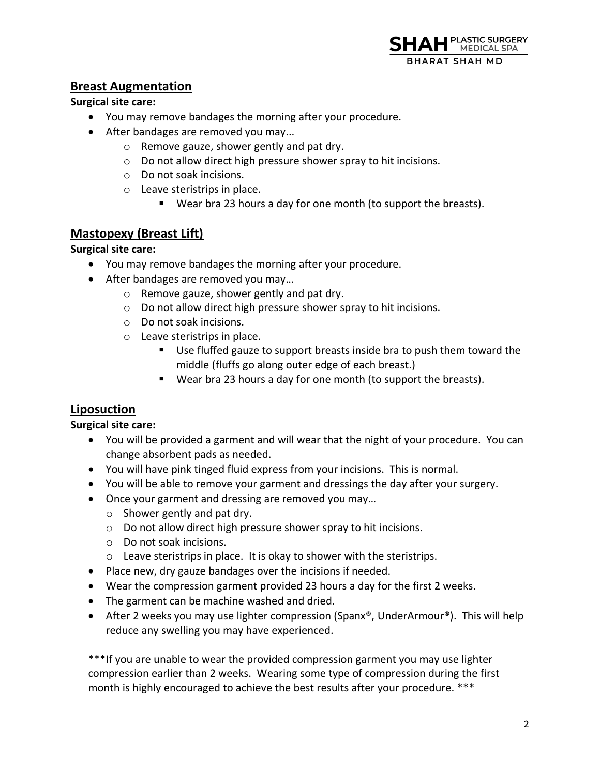

## **Breast Augmentation**

### **Surgical site care:**

- You may remove bandages the morning after your procedure.
- After bandages are removed you may...
	- o Remove gauze, shower gently and pat dry.
	- o Do not allow direct high pressure shower spray to hit incisions.
	- o Do not soak incisions.
	- o Leave steristrips in place.
		- Wear bra 23 hours a day for one month (to support the breasts).

# **Mastopexy (Breast Lift)**

### **Surgical site care:**

- You may remove bandages the morning after your procedure.
- After bandages are removed you may...
	- o Remove gauze, shower gently and pat dry.
	- o Do not allow direct high pressure shower spray to hit incisions.
	- o Do not soak incisions.
	- o Leave steristrips in place.
		- Use fluffed gauze to support breasts inside bra to push them toward the middle (fluffs go along outer edge of each breast.)
		- Wear bra 23 hours a day for one month (to support the breasts).

# **Liposuction**

### **Surgical site care:**

- You will be provided a garment and will wear that the night of your procedure. You can change absorbent pads as needed.
- You will have pink tinged fluid express from your incisions. This is normal.
- You will be able to remove your garment and dressings the day after your surgery.
- Once your garment and dressing are removed you may…
	- o Shower gently and pat dry.
	- o Do not allow direct high pressure shower spray to hit incisions.
	- o Do not soak incisions.
	- o Leave steristrips in place. It is okay to shower with the steristrips.
- Place new, dry gauze bandages over the incisions if needed.
- Wear the compression garment provided 23 hours a day for the first 2 weeks.
- The garment can be machine washed and dried.
- After 2 weeks you may use lighter compression (Spanx®, UnderArmour®). This will help reduce any swelling you may have experienced.

\*\*\*If you are unable to wear the provided compression garment you may use lighter compression earlier than 2 weeks. Wearing some type of compression during the first month is highly encouraged to achieve the best results after your procedure. \*\*\*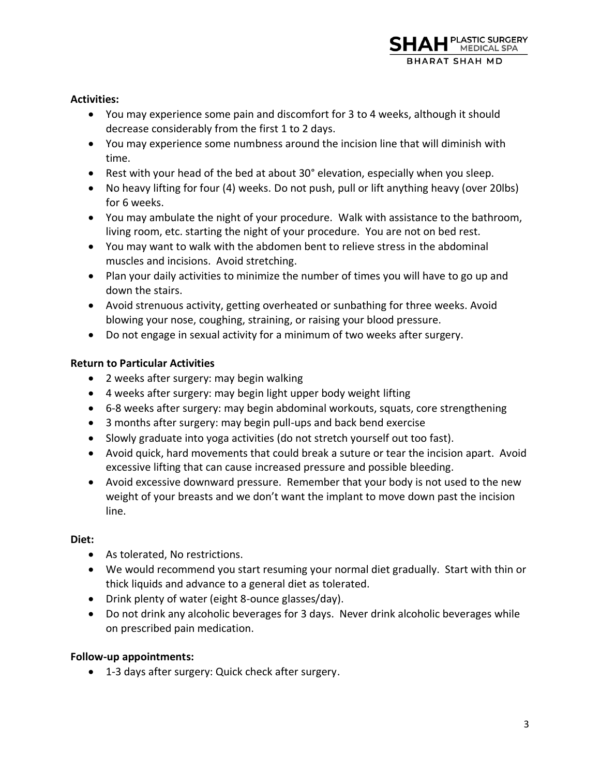### **Activities:**

- You may experience some pain and discomfort for 3 to 4 weeks, although it should decrease considerably from the first 1 to 2 days.
- You may experience some numbness around the incision line that will diminish with time.
- Rest with your head of the bed at about 30° elevation, especially when you sleep.
- No heavy lifting for four (4) weeks. Do not push, pull or lift anything heavy (over 20lbs) for 6 weeks.
- You may ambulate the night of your procedure. Walk with assistance to the bathroom, living room, etc. starting the night of your procedure. You are not on bed rest.
- You may want to walk with the abdomen bent to relieve stress in the abdominal muscles and incisions. Avoid stretching.
- Plan your daily activities to minimize the number of times you will have to go up and down the stairs.
- Avoid strenuous activity, getting overheated or sunbathing for three weeks. Avoid blowing your nose, coughing, straining, or raising your blood pressure.
- Do not engage in sexual activity for a minimum of two weeks after surgery.

### **Return to Particular Activities**

- 2 weeks after surgery: may begin walking
- 4 weeks after surgery: may begin light upper body weight lifting
- 6-8 weeks after surgery: may begin abdominal workouts, squats, core strengthening
- 3 months after surgery: may begin pull-ups and back bend exercise
- Slowly graduate into yoga activities (do not stretch yourself out too fast).
- Avoid quick, hard movements that could break a suture or tear the incision apart. Avoid excessive lifting that can cause increased pressure and possible bleeding.
- Avoid excessive downward pressure. Remember that your body is not used to the new weight of your breasts and we don't want the implant to move down past the incision line.

### **Diet:**

- As tolerated, No restrictions.
- We would recommend you start resuming your normal diet gradually. Start with thin or thick liquids and advance to a general diet as tolerated.
- Drink plenty of water (eight 8-ounce glasses/day).
- Do not drink any alcoholic beverages for 3 days. Never drink alcoholic beverages while on prescribed pain medication.

### **Follow-up appointments:**

• 1-3 days after surgery: Quick check after surgery.